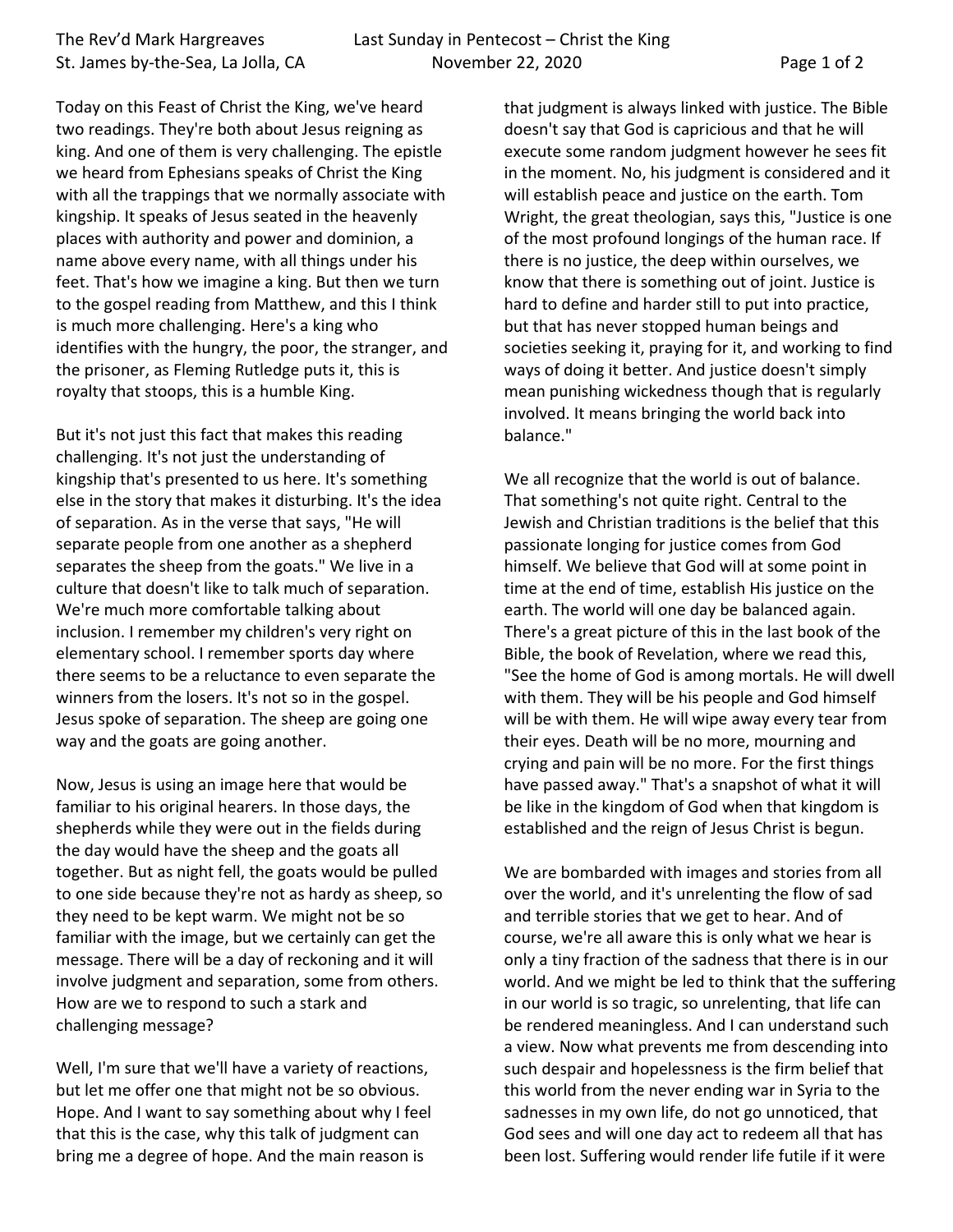Today on this Feast of Christ the King, we've heard two readings. They're both about Jesus reigning as king. And one of them is very challenging. The epistle we heard from Ephesians speaks of Christ the King with all the trappings that we normally associate with kingship. It speaks of Jesus seated in the heavenly places with authority and power and dominion, a name above every name, with all things under his feet. That's how we imagine a king. But then we turn to the gospel reading from Matthew, and this I think is much more challenging. Here's a king who identifies with the hungry, the poor, the stranger, and the prisoner, as Fleming Rutledge puts it, this is royalty that stoops, this is a humble King.

But it's not just this fact that makes this reading challenging. It's not just the understanding of kingship that's presented to us here. It's something else in the story that makes it disturbing. It's the idea of separation. As in the verse that says, "He will separate people from one another as a shepherd separates the sheep from the goats." We live in a culture that doesn't like to talk much of separation. We're much more comfortable talking about inclusion. I remember my children's very right on elementary school. I remember sports day where there seems to be a reluctance to even separate the winners from the losers. It's not so in the gospel. Jesus spoke of separation. The sheep are going one way and the goats are going another.

Now, Jesus is using an image here that would be familiar to his original hearers. In those days, the shepherds while they were out in the fields during the day would have the sheep and the goats all together. But as night fell, the goats would be pulled to one side because they're not as hardy as sheep, so they need to be kept warm. We might not be so familiar with the image, but we certainly can get the message. There will be a day of reckoning and it will involve judgment and separation, some from others. How are we to respond to such a stark and challenging message?

Well, I'm sure that we'll have a variety of reactions, but let me offer one that might not be so obvious. Hope. And I want to say something about why I feel that this is the case, why this talk of judgment can bring me a degree of hope. And the main reason is

that judgment is always linked with justice. The Bible doesn't say that God is capricious and that he will execute some random judgment however he sees fit in the moment. No, his judgment is considered and it will establish peace and justice on the earth. Tom Wright, the great theologian, says this, "Justice is one of the most profound longings of the human race. If there is no justice, the deep within ourselves, we know that there is something out of joint. Justice is hard to define and harder still to put into practice, but that has never stopped human beings and societies seeking it, praying for it, and working to find ways of doing it better. And justice doesn't simply mean punishing wickedness though that is regularly involved. It means bringing the world back into balance."

We all recognize that the world is out of balance. That something's not quite right. Central to the Jewish and Christian traditions is the belief that this passionate longing for justice comes from God himself. We believe that God will at some point in time at the end of time, establish His justice on the earth. The world will one day be balanced again. There's a great picture of this in the last book of the Bible, the book of Revelation, where we read this, "See the home of God is among mortals. He will dwell with them. They will be his people and God himself will be with them. He will wipe away every tear from their eyes. Death will be no more, mourning and crying and pain will be no more. For the first things have passed away." That's a snapshot of what it will be like in the kingdom of God when that kingdom is established and the reign of Jesus Christ is begun.

We are bombarded with images and stories from all over the world, and it's unrelenting the flow of sad and terrible stories that we get to hear. And of course, we're all aware this is only what we hear is only a tiny fraction of the sadness that there is in our world. And we might be led to think that the suffering in our world is so tragic, so unrelenting, that life can be rendered meaningless. And I can understand such a view. Now what prevents me from descending into such despair and hopelessness is the firm belief that this world from the never ending war in Syria to the sadnesses in my own life, do not go unnoticed, that God sees and will one day act to redeem all that has been lost. Suffering would render life futile if it were